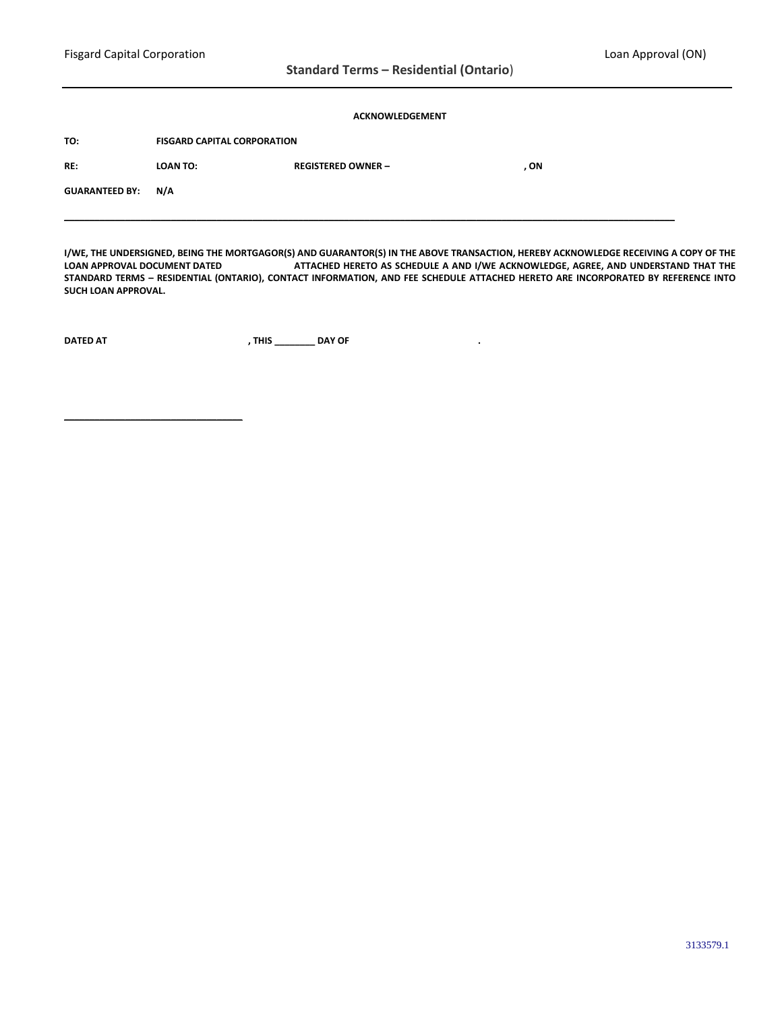### **ACKNOWLEDGEMENT**

**TO: FISGARD CAPITAL CORPORATION RE: LOAN TO: REGISTERED OWNER – , ON GUARANTEED BY: N/A \_\_\_\_\_\_\_\_\_\_\_\_\_\_\_\_\_\_\_\_\_\_\_\_\_\_\_\_\_\_\_\_\_\_\_\_\_\_\_\_\_\_\_\_\_\_\_\_\_\_\_\_\_\_\_\_\_\_\_\_\_\_\_\_\_\_\_\_\_\_\_\_\_\_\_\_\_\_\_\_\_\_\_\_\_\_\_\_\_\_\_\_\_\_\_\_\_\_\_\_\_\_\_\_\_\_\_\_\_\_\_\_\_\_\_\_\_\_\_\_**

**I/WE, THE UNDERSIGNED, BEING THE MORTGAGOR(S) AND GUARANTOR(S) IN THE ABOVE TRANSACTION, HEREBY ACKNOWLEDGE RECEIVING A COPY OF THE ATTACHED HERETO AS SCHEDULE A AND I/WE ACKNOWLEDGE, AGREE, AND UNDERSTAND THAT THE STANDARD TERMS – RESIDENTIAL (ONTARIO), CONTACT INFORMATION, AND FEE SCHEDULE ATTACHED HERETO ARE INCORPORATED BY REFERENCE INTO SUCH LOAN APPROVAL.**

**DATED AT , THIS \_\_\_\_\_\_\_\_ DAY OF .**

**\_\_\_\_\_\_\_\_\_\_\_\_\_\_\_\_\_\_\_\_\_\_\_\_\_\_\_\_\_\_\_\_\_\_\_**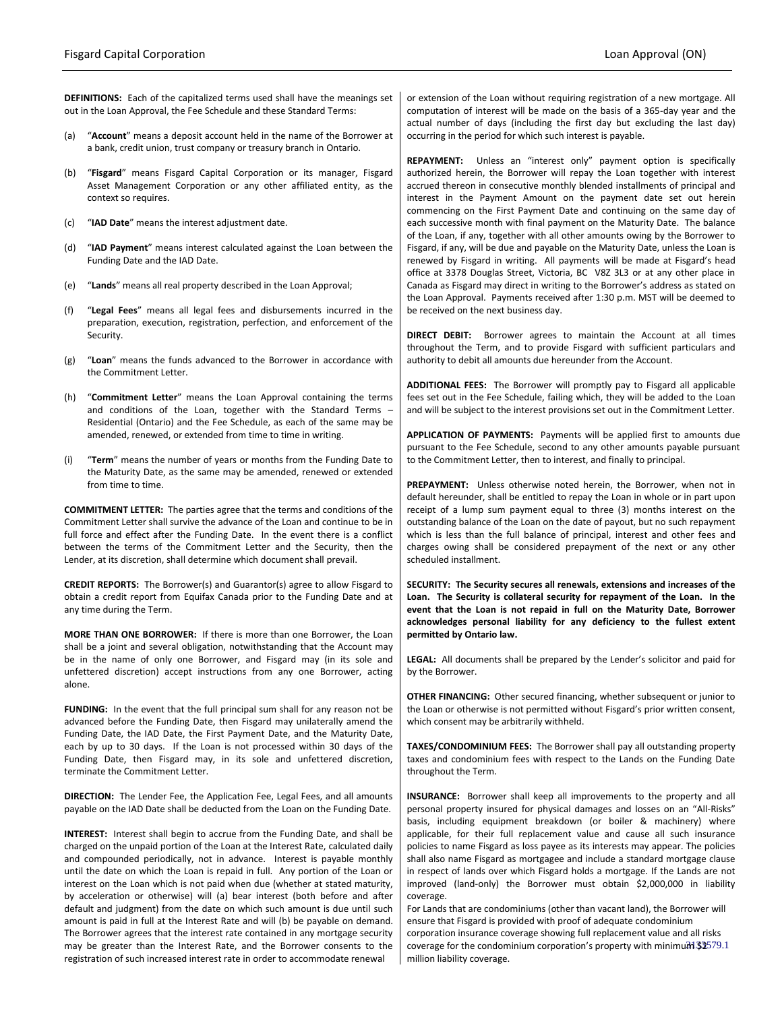**DEFINITIONS:** Each of the capitalized terms used shall have the meanings set out in the Loan Approval, the Fee Schedule and these Standard Terms:

- (a) "**Account**" means a deposit account held in the name of the Borrower at a bank, credit union, trust company or treasury branch in Ontario.
- (b) "**Fisgard**" means Fisgard Capital Corporation or its manager, Fisgard Asset Management Corporation or any other affiliated entity, as the context so requires.
- (c) "**IAD Date**" means the interest adjustment date.
- (d) "**IAD Payment**" means interest calculated against the Loan between the Funding Date and the IAD Date.
- (e) "**Lands**" means all real property described in the Loan Approval;
- (f) "**Legal Fees**" means all legal fees and disbursements incurred in the preparation, execution, registration, perfection, and enforcement of the Security.
- (g) "**Loan**" means the funds advanced to the Borrower in accordance with the Commitment Letter.
- (h) "**Commitment Letter**" means the Loan Approval containing the terms and conditions of the Loan, together with the Standard Terms – Residential (Ontario) and the Fee Schedule, as each of the same may be amended, renewed, or extended from time to time in writing.
- (i) "**Term**" means the number of years or months from the Funding Date to the Maturity Date, as the same may be amended, renewed or extended from time to time.

**COMMITMENT LETTER:** The parties agree that the terms and conditions of the Commitment Letter shall survive the advance of the Loan and continue to be in full force and effect after the Funding Date. In the event there is a conflict between the terms of the Commitment Letter and the Security, then the Lender, at its discretion, shall determine which document shall prevail.

**CREDIT REPORTS:** The Borrower(s) and Guarantor(s) agree to allow Fisgard to obtain a credit report from Equifax Canada prior to the Funding Date and at any time during the Term.

**MORE THAN ONE BORROWER:** If there is more than one Borrower, the Loan shall be a joint and several obligation, notwithstanding that the Account may be in the name of only one Borrower, and Fisgard may (in its sole and unfettered discretion) accept instructions from any one Borrower, acting alone.

**FUNDING:** In the event that the full principal sum shall for any reason not be advanced before the Funding Date, then Fisgard may unilaterally amend the Funding Date, the IAD Date, the First Payment Date, and the Maturity Date, each by up to 30 days. If the Loan is not processed within 30 days of the Funding Date, then Fisgard may, in its sole and unfettered discretion, terminate the Commitment Letter.

**DIRECTION:** The Lender Fee, the Application Fee, Legal Fees, and all amounts payable on the IAD Date shall be deducted from the Loan on the Funding Date.

**INTEREST:** Interest shall begin to accrue from the Funding Date, and shall be charged on the unpaid portion of the Loan at the Interest Rate, calculated daily and compounded periodically, not in advance. Interest is payable monthly until the date on which the Loan is repaid in full. Any portion of the Loan or interest on the Loan which is not paid when due (whether at stated maturity, by acceleration or otherwise) will (a) bear interest (both before and after default and judgment) from the date on which such amount is due until such amount is paid in full at the Interest Rate and will (b) be payable on demand. The Borrower agrees that the interest rate contained in any mortgage security may be greater than the Interest Rate, and the Borrower consents to the registration of such increased interest rate in order to accommodate renewal

or extension of the Loan without requiring registration of a new mortgage. All computation of interest will be made on the basis of a 365-day year and the actual number of days (including the first day but excluding the last day) occurring in the period for which such interest is payable.

**REPAYMENT:** Unless an "interest only" payment option is specifically authorized herein, the Borrower will repay the Loan together with interest accrued thereon in consecutive monthly blended installments of principal and interest in the Payment Amount on the payment date set out herein commencing on the First Payment Date and continuing on the same day of each successive month with final payment on the Maturity Date. The balance of the Loan, if any, together with all other amounts owing by the Borrower to Fisgard, if any, will be due and payable on the Maturity Date, unless the Loan is renewed by Fisgard in writing. All payments will be made at Fisgard's head office at 3378 Douglas Street, Victoria, BC V8Z 3L3 or at any other place in Canada as Fisgard may direct in writing to the Borrower's address as stated on the Loan Approval. Payments received after 1:30 p.m. MST will be deemed to be received on the next business day.

**DIRECT DEBIT:** Borrower agrees to maintain the Account at all times throughout the Term, and to provide Fisgard with sufficient particulars and authority to debit all amounts due hereunder from the Account.

**ADDITIONAL FEES:** The Borrower will promptly pay to Fisgard all applicable fees set out in the Fee Schedule, failing which, they will be added to the Loan and will be subject to the interest provisions set out in the Commitment Letter.

**APPLICATION OF PAYMENTS:** Payments will be applied first to amounts due pursuant to the Fee Schedule, second to any other amounts payable pursuant to the Commitment Letter, then to interest, and finally to principal.

**PREPAYMENT:** Unless otherwise noted herein, the Borrower, when not in default hereunder, shall be entitled to repay the Loan in whole or in part upon receipt of a lump sum payment equal to three (3) months interest on the outstanding balance of the Loan on the date of payout, but no such repayment which is less than the full balance of principal, interest and other fees and charges owing shall be considered prepayment of the next or any other scheduled installment.

**SECURITY: The Security secures all renewals, extensions and increases of the Loan. The Security is collateral security for repayment of the Loan. In the event that the Loan is not repaid in full on the Maturity Date, Borrower acknowledges personal liability for any deficiency to the fullest extent permitted by Ontario law.**

**LEGAL:** All documents shall be prepared by the Lender's solicitor and paid for by the Borrower.

**OTHER FINANCING:** Other secured financing, whether subsequent or junior to the Loan or otherwise is not permitted without Fisgard's prior written consent, which consent may be arbitrarily withheld.

**TAXES/CONDOMINIUM FEES:** The Borrower shall pay all outstanding property taxes and condominium fees with respect to the Lands on the Funding Date throughout the Term.

**INSURANCE:** Borrower shall keep all improvements to the property and all personal property insured for physical damages and losses on an "All-Risks" basis, including equipment breakdown (or boiler & machinery) where applicable, for their full replacement value and cause all such insurance policies to name Fisgard as loss payee as its interests may appear. The policies shall also name Fisgard as mortgagee and include a standard mortgage clause in respect of lands over which Fisgard holds a mortgage. If the Lands are not improved (land-only) the Borrower must obtain \$2,000,000 in liability coverage.

coverage for the condominium corporation's property with minimum  $$2579.1$ For Lands that are condominiums (other than vacant land), the Borrower will ensure that Fisgard is provided with proof of adequate condominium corporation insurance coverage showing full replacement value and all risks million liability coverage.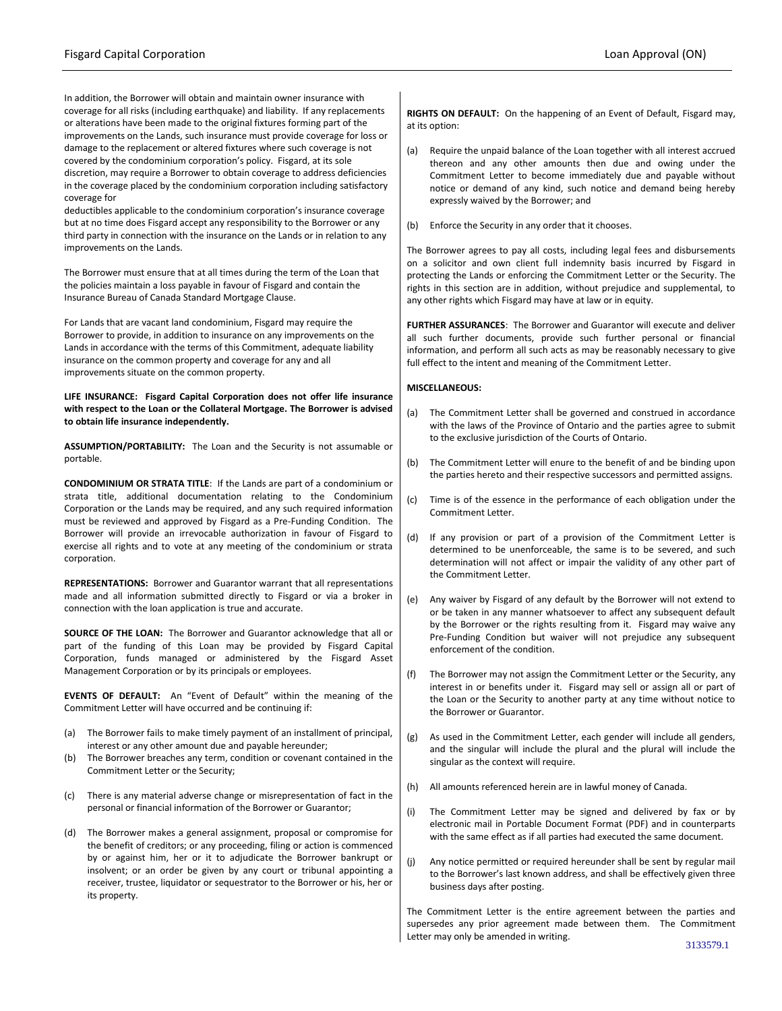In addition, the Borrower will obtain and maintain owner insurance with coverage for all risks (including earthquake) and liability. If any replacements or alterations have been made to the original fixtures forming part of the improvements on the Lands, such insurance must provide coverage for loss or damage to the replacement or altered fixtures where such coverage is not covered by the condominium corporation's policy. Fisgard, at its sole discretion, may require a Borrower to obtain coverage to address deficiencies in the coverage placed by the condominium corporation including satisfactory coverage for

deductibles applicable to the condominium corporation's insurance coverage but at no time does Fisgard accept any responsibility to the Borrower or any third party in connection with the insurance on the Lands or in relation to any improvements on the Lands.

The Borrower must ensure that at all times during the term of the Loan that the policies maintain a loss payable in favour of Fisgard and contain the Insurance Bureau of Canada Standard Mortgage Clause.

For Lands that are vacant land condominium, Fisgard may require the Borrower to provide, in addition to insurance on any improvements on the Lands in accordance with the terms of this Commitment, adequate liability insurance on the common property and coverage for any and all improvements situate on the common property.

**LIFE INSURANCE: Fisgard Capital Corporation does not offer life insurance with respect to the Loan or the Collateral Mortgage. The Borrower is advised to obtain life insurance independently.**

**ASSUMPTION/PORTABILITY:** The Loan and the Security is not assumable or portable.

**CONDOMINIUM OR STRATA TITLE**: If the Lands are part of a condominium or strata title, additional documentation relating to the Condominium Corporation or the Lands may be required, and any such required information must be reviewed and approved by Fisgard as a Pre-Funding Condition. The Borrower will provide an irrevocable authorization in favour of Fisgard to exercise all rights and to vote at any meeting of the condominium or strata corporation.

**REPRESENTATIONS:** Borrower and Guarantor warrant that all representations made and all information submitted directly to Fisgard or via a broker in connection with the loan application is true and accurate.

**SOURCE OF THE LOAN:** The Borrower and Guarantor acknowledge that all or part of the funding of this Loan may be provided by Fisgard Capital Corporation, funds managed or administered by the Fisgard Asset Management Corporation or by its principals or employees.

**EVENTS OF DEFAULT:** An "Event of Default" within the meaning of the Commitment Letter will have occurred and be continuing if:

- (a) The Borrower fails to make timely payment of an installment of principal, interest or any other amount due and payable hereunder;
- (b) The Borrower breaches any term, condition or covenant contained in the Commitment Letter or the Security;
- (c) There is any material adverse change or misrepresentation of fact in the personal or financial information of the Borrower or Guarantor;
- (d) The Borrower makes a general assignment, proposal or compromise for the benefit of creditors; or any proceeding, filing or action is commenced by or against him, her or it to adjudicate the Borrower bankrupt or insolvent; or an order be given by any court or tribunal appointing a receiver, trustee, liquidator or sequestrator to the Borrower or his, her or its property.

**RIGHTS ON DEFAULT:** On the happening of an Event of Default, Fisgard may, at its option:

- (a) Require the unpaid balance of the Loan together with all interest accrued thereon and any other amounts then due and owing under the Commitment Letter to become immediately due and payable without notice or demand of any kind, such notice and demand being hereby expressly waived by the Borrower; and
- (b) Enforce the Security in any order that it chooses.

The Borrower agrees to pay all costs, including legal fees and disbursements on a solicitor and own client full indemnity basis incurred by Fisgard in protecting the Lands or enforcing the Commitment Letter or the Security. The rights in this section are in addition, without prejudice and supplemental, to any other rights which Fisgard may have at law or in equity.

**FURTHER ASSURANCES**: The Borrower and Guarantor will execute and deliver all such further documents, provide such further personal or financial information, and perform all such acts as may be reasonably necessary to give full effect to the intent and meaning of the Commitment Letter.

#### **MISCELLANEOUS:**

- (a) The Commitment Letter shall be governed and construed in accordance with the laws of the Province of Ontario and the parties agree to submit to the exclusive jurisdiction of the Courts of Ontario.
- (b) The Commitment Letter will enure to the benefit of and be binding upon the parties hereto and their respective successors and permitted assigns.
- (c) Time is of the essence in the performance of each obligation under the Commitment Letter.
- (d) If any provision or part of a provision of the Commitment Letter is determined to be unenforceable, the same is to be severed, and such determination will not affect or impair the validity of any other part of the Commitment Letter.
- (e) Any waiver by Fisgard of any default by the Borrower will not extend to or be taken in any manner whatsoever to affect any subsequent default by the Borrower or the rights resulting from it. Fisgard may waive any Pre-Funding Condition but waiver will not prejudice any subsequent enforcement of the condition.
- (f) The Borrower may not assign the Commitment Letter or the Security, any interest in or benefits under it. Fisgard may sell or assign all or part of the Loan or the Security to another party at any time without notice to the Borrower or Guarantor.
- (g) As used in the Commitment Letter, each gender will include all genders, and the singular will include the plural and the plural will include the singular as the context will require.
- (h) All amounts referenced herein are in lawful money of Canada.
- (i) The Commitment Letter may be signed and delivered by fax or by electronic mail in Portable Document Format (PDF) and in counterparts with the same effect as if all parties had executed the same document.
- (j) Any notice permitted or required hereunder shall be sent by regular mail to the Borrower's last known address, and shall be effectively given three business days after posting.

The Commitment Letter is the entire agreement between the parties and supersedes any prior agreement made between them. The Commitment Letter may only be amended in writing.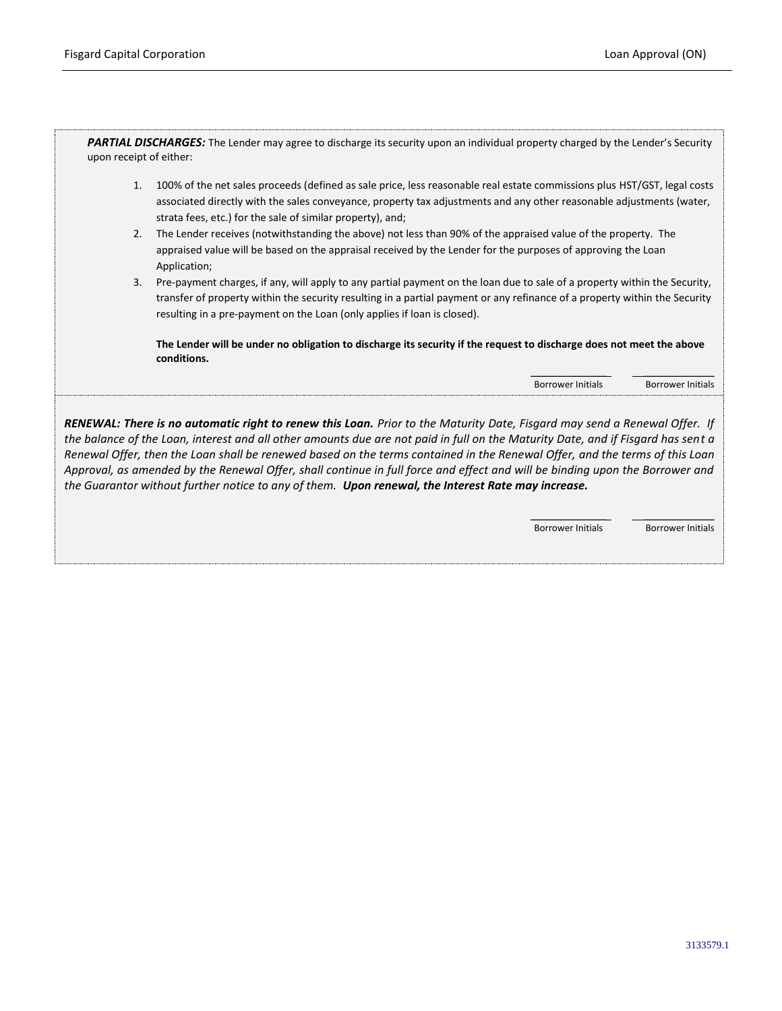*PARTIAL DISCHARGES:* The Lender may agree to discharge its security upon an individual property charged by the Lender's Security upon receipt of either:

- 1. 100% of the net sales proceeds (defined as sale price, less reasonable real estate commissions plus HST/GST, legal costs associated directly with the sales conveyance, property tax adjustments and any other reasonable adjustments (water, strata fees, etc.) for the sale of similar property), and;
- 2. The Lender receives (notwithstanding the above) not less than 90% of the appraised value of the property. The appraised value will be based on the appraisal received by the Lender for the purposes of approving the Loan Application;
- 3. Pre-payment charges, if any, will apply to any partial payment on the loan due to sale of a property within the Security, transfer of property within the security resulting in a partial payment or any refinance of a property within the Security resulting in a pre-payment on the Loan (only applies if loan is closed).

**The Lender will be under no obligation to discharge its security if the request to discharge does not meet the above conditions.**

> \_\_\_\_\_\_\_\_\_\_\_\_\_\_\_ \_\_\_\_\_\_\_\_\_\_\_\_\_\_ Borrower Initials Borrower Initials

*RENEWAL: There is no automatic right to renew this Loan. Prior to the Maturity Date, Fisgard may send a Renewal Offer. If the balance of the Loan, interest and all other amounts due are not paid in full on the Maturity Date, and if Fisgard has sent a Renewal Offer, then the Loan shall be renewed based on the terms contained in the Renewal Offer, and the terms of this Loan Approval, as amended by the Renewal Offer, shall continue in full force and effect and will be binding upon the Borrower and the Guarantor without further notice to any of them. Upon renewal, the Interest Rate may increase.*

> \_\_\_\_\_\_\_\_\_\_\_\_\_\_\_ \_\_\_\_\_\_\_\_\_\_\_\_\_\_ Borrower Initials Borrower Initials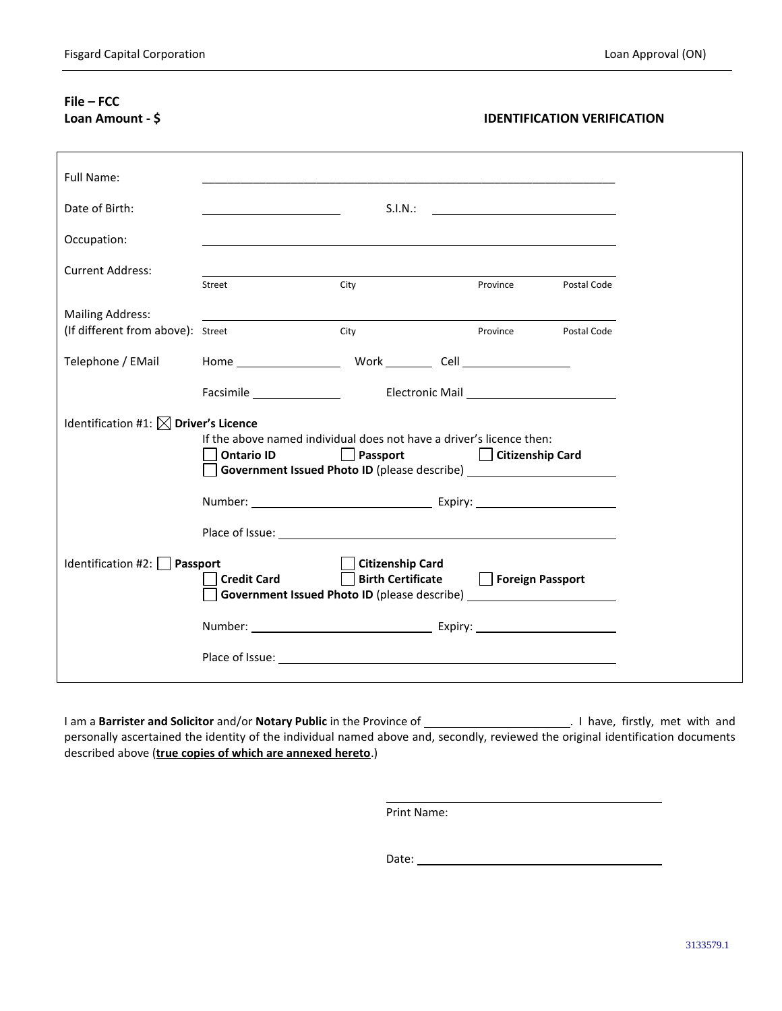# **File – FCC**

## **Loan Amount - \$ IDENTIFICATION VERIFICATION**

| Full Name:                                                                                                                                             |                                                                                                                                                                                                                                |      |                               |                      |             |  |  |
|--------------------------------------------------------------------------------------------------------------------------------------------------------|--------------------------------------------------------------------------------------------------------------------------------------------------------------------------------------------------------------------------------|------|-------------------------------|----------------------|-------------|--|--|
| Date of Birth:                                                                                                                                         |                                                                                                                                                                                                                                |      |                               |                      |             |  |  |
| Occupation:                                                                                                                                            |                                                                                                                                                                                                                                |      |                               |                      |             |  |  |
| <b>Current Address:</b>                                                                                                                                | Street                                                                                                                                                                                                                         | City |                               | Province             | Postal Code |  |  |
| <b>Mailing Address:</b>                                                                                                                                |                                                                                                                                                                                                                                |      |                               |                      |             |  |  |
| (If different from above): Street                                                                                                                      |                                                                                                                                                                                                                                | City |                               | Province Postal Code |             |  |  |
| Telephone / EMail                                                                                                                                      |                                                                                                                                                                                                                                |      |                               |                      |             |  |  |
|                                                                                                                                                        | Facsimile <b>Electronic Mail</b>                                                                                                                                                                                               |      |                               |                      |             |  |  |
| Identification #1: $\boxtimes$ Driver's Licence                                                                                                        |                                                                                                                                                                                                                                |      |                               |                      |             |  |  |
|                                                                                                                                                        | If the above named individual does not have a driver's licence then:<br><b>Ontario ID</b>                                                                                                                                      |      | Passport     Citizenship Card |                      |             |  |  |
|                                                                                                                                                        | Government Issued Photo ID (please describe) ___________________________________                                                                                                                                               |      |                               |                      |             |  |  |
|                                                                                                                                                        |                                                                                                                                                                                                                                |      |                               |                      |             |  |  |
|                                                                                                                                                        | Place of Issue: The contract of the contract of the contract of the contract of the contract of the contract of the contract of the contract of the contract of the contract of the contract of the contract of the contract o |      |                               |                      |             |  |  |
| Identification #2: $\Box$ Passport<br><b>Citizenship Card</b>                                                                                          |                                                                                                                                                                                                                                |      |                               |                      |             |  |  |
| Foreign Passport<br><b>Birth Certificate</b><br><b>Credit Card</b><br>Government Issued Photo ID (please describe) ___________________________________ |                                                                                                                                                                                                                                |      |                               |                      |             |  |  |
|                                                                                                                                                        | Number: <u>Number:</u> Expiry: <u>Number:</u> Expiry:                                                                                                                                                                          |      |                               |                      |             |  |  |
|                                                                                                                                                        |                                                                                                                                                                                                                                |      |                               |                      |             |  |  |
|                                                                                                                                                        |                                                                                                                                                                                                                                |      |                               |                      |             |  |  |

I am a **Barrister and Solicitor** and/or **Notary Public** in the Province of . I have, firstly, met with and personally ascertained the identity of the individual named above and, secondly, reviewed the original identification documents described above (**true copies of which are annexed hereto**.)

Print Name: